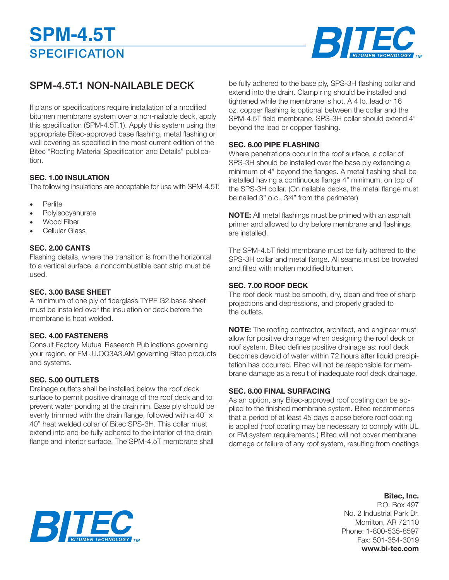

## SPM-4.5T.1 NON-NAILABLE DECK

If plans or specifications require installation of a modified bitumen membrane system over a non-nailable deck, apply this specification (SPM-4.5T.1). Apply this system using the appropriate Bitec-approved base flashing, metal flashing or wall covering as specified in the most current edition of the Bitec "Roofing Material Specification and Details" publication.

#### **SEC. 1.00 INSULATION**

The following insulations are acceptable for use with SPM-4.5T:

- **Perlite**
- Polyisocyanurate
- Wood Fiber
- Cellular Glass

#### **SEC. 2.00 CANTS**

Flashing details, where the transition is from the horizontal to a vertical surface, a noncombustible cant strip must be used.

#### **SEC. 3.00 BASE SHEET**

A minimum of one ply of fiberglass TYPE G2 base sheet must be installed over the insulation or deck before the membrane is heat welded.

#### **SEC. 4.00 FASTENERS**

Consult Factory Mutual Research Publications governing your region, or FM J.l.OQ3A3.AM governing Bitec products and systems.

#### **SEC. 5.00 OUTLETS**

Drainage outlets shall be installed below the roof deck surface to permit positive drainage of the roof deck and to prevent water ponding at the drain rim. Base ply should be evenly trimmed with the drain flange, followed with a 40" x 40" heat welded collar of Bitec SPS-3H. This collar must extend into and be fully adhered to the interior of the drain flange and interior surface. The SPM-4.5T membrane shall

be fully adhered to the base ply, SPS-3H flashing collar and extend into the drain. Clamp ring should be installed and tightened while the membrane is hot. A 4 lb. Iead or 16 oz. copper flashing is optional between the collar and the SPM-4.5T field membrane. SPS-3H collar should extend 4" beyond the lead or copper flashing.

#### **SEC. 6.00 PIPE FLASHING**

Where penetrations occur in the roof surface, a collar of SPS-3H should be installed over the base ply extending a minimum of 4" beyond the flanges. A metal flashing shall be installed having a continuous flange 4" minimum, on top of the SPS-3H collar. (On nailable decks, the metal flange must be nailed 3" o.c., 3⁄4" from the perimeter)

**NOTE:** All metal flashings must be primed with an asphalt primer and allowed to dry before membrane and flashings are installed.

The SPM-4.5T field membrane must be fully adhered to the SPS-3H collar and metal flange. All seams must be troweled and filled with molten modified bitumen.

#### **SEC. 7.00 ROOF DECK**

The roof deck must be smooth, dry, clean and free of sharp projections and depressions, and properly graded to the outlets.

**NOTE:** The roofing contractor, architect, and engineer must allow for positive drainage when designing the roof deck or roof system. Bitec defines positive drainage as: roof deck becomes devoid of water within 72 hours after liquid precipitation has occurred. Bitec will not be responsible for membrane damage as a result of inadequate roof deck drainage.

#### **SEC. 8.00 FINAL SURFACING**

As an option, any Bitec-approved roof coating can be applied to the finished membrane system. Bitec recommends that a period of at least 45 days elapse before roof coating is applied (roof coating may be necessary to comply with UL or FM system requirements.) Bitec will not cover membrane damage or failure of any roof system, resulting from coatings

### **Bitec, Inc.**

P.O. Box 497 No. 2 Industrial Park Dr. Morrilton, AR 72110 Phone: 1-800-535-8597 Fax: 501-354-3019 **www.bi-tec.com**